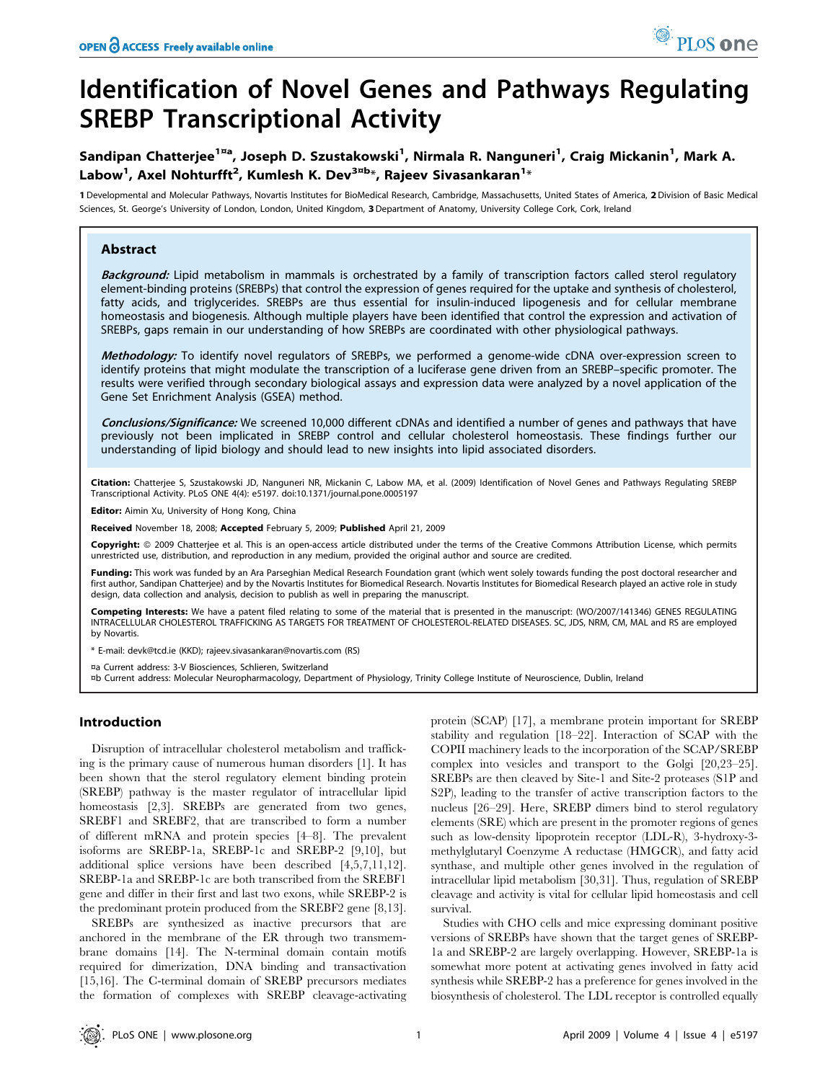# Identification of Novel Genes and Pathways Regulating SREBP Transcriptional Activity

## Sandipan Chatterjee<sup>1¤a</sup>, Joseph D. Szustakowski<sup>1</sup>, Nirmala R. Nanguneri<sup>1</sup>, Craig Mickanin<sup>1</sup>, Mark A. Labow<sup>1</sup>, Axel Nohturfft<sup>2</sup>, Kumlesh K. Dev<sup>3¤b</sup>\*, Rajeev Sivasankaran<sup>1</sup>\*

1 Developmental and Molecular Pathways, Novartis Institutes for BioMedical Research, Cambridge, Massachusetts, United States of America, 2Division of Basic Medical Sciences, St. George's University of London, London, United Kingdom, 3 Department of Anatomy, University College Cork, Cork, Ireland

## Abstract

Background: Lipid metabolism in mammals is orchestrated by a family of transcription factors called sterol regulatory element-binding proteins (SREBPs) that control the expression of genes required for the uptake and synthesis of cholesterol, fatty acids, and triglycerides. SREBPs are thus essential for insulin-induced lipogenesis and for cellular membrane homeostasis and biogenesis. Although multiple players have been identified that control the expression and activation of SREBPs, gaps remain in our understanding of how SREBPs are coordinated with other physiological pathways.

Methodology: To identify novel regulators of SREBPs, we performed a genome-wide cDNA over-expression screen to identify proteins that might modulate the transcription of a luciferase gene driven from an SREBP–specific promoter. The results were verified through secondary biological assays and expression data were analyzed by a novel application of the Gene Set Enrichment Analysis (GSEA) method.

Conclusions/Significance: We screened 10,000 different cDNAs and identified a number of genes and pathways that have previously not been implicated in SREBP control and cellular cholesterol homeostasis. These findings further our understanding of lipid biology and should lead to new insights into lipid associated disorders.

Citation: Chatterjee S, Szustakowski JD, Nanguneri NR, Mickanin C, Labow MA, et al. (2009) Identification of Novel Genes and Pathways Regulating SREBP Transcriptional Activity. PLoS ONE 4(4): e5197. doi:10.1371/journal.pone.0005197

Editor: Aimin Xu, University of Hong Kong, China

Received November 18, 2008; Accepted February 5, 2009; Published April 21, 2009

Copyright: © 2009 Chatteriee et al. This is an open-access article distributed under the terms of the Creative Commons Attribution License, which permits unrestricted use, distribution, and reproduction in any medium, provided the original author and source are credited.

Funding: This work was funded by an Ara Parseghian Medical Research Foundation grant (which went solely towards funding the post doctoral researcher and first author, Sandipan Chatterjee) and by the Novartis Institutes for Biomedical Research. Novartis Institutes for Biomedical Research played an active role in study design, data collection and analysis, decision to publish as well in preparing the manuscript.

Competing Interests: We have a patent filed relating to some of the material that is presented in the manuscript: (WO/2007/141346) GENES REGULATING INTRACELLULAR CHOLESTEROL TRAFFICKING AS TARGETS FOR TREATMENT OF CHOLESTEROL-RELATED DISEASES. SC, JDS, NRM, CM, MAL and RS are employed by Novartis.

\* E-mail: devk@tcd.ie (KKD); rajeev.sivasankaran@novartis.com (RS)

¤a Current address: 3-V Biosciences, Schlieren, Switzerland

¤b Current address: Molecular Neuropharmacology, Department of Physiology, Trinity College Institute of Neuroscience, Dublin, Ireland

## Introduction

Disruption of intracellular cholesterol metabolism and trafficking is the primary cause of numerous human disorders [1]. It has been shown that the sterol regulatory element binding protein (SREBP) pathway is the master regulator of intracellular lipid homeostasis [2,3]. SREBPs are generated from two genes, SREBF1 and SREBF2, that are transcribed to form a number of different mRNA and protein species [4–8]. The prevalent isoforms are SREBP-1a, SREBP-1c and SREBP-2 [9,10], but additional splice versions have been described [4,5,7,11,12]. SREBP-1a and SREBP-1c are both transcribed from the SREBF1 gene and differ in their first and last two exons, while SREBP-2 is the predominant protein produced from the SREBF2 gene [8,13].

SREBPs are synthesized as inactive precursors that are anchored in the membrane of the ER through two transmembrane domains [14]. The N-terminal domain contain motifs required for dimerization, DNA binding and transactivation [15,16]. The C-terminal domain of SREBP precursors mediates the formation of complexes with SREBP cleavage-activating protein (SCAP) [17], a membrane protein important for SREBP stability and regulation [18–22]. Interaction of SCAP with the COPII machinery leads to the incorporation of the SCAP/SREBP complex into vesicles and transport to the Golgi [20,23–25]. SREBPs are then cleaved by Site-1 and Site-2 proteases (S1P and S2P), leading to the transfer of active transcription factors to the nucleus [26–29]. Here, SREBP dimers bind to sterol regulatory elements (SRE) which are present in the promoter regions of genes such as low-density lipoprotein receptor (LDL-R), 3-hydroxy-3 methylglutaryl Coenzyme A reductase (HMGCR), and fatty acid synthase, and multiple other genes involved in the regulation of intracellular lipid metabolism [30,31]. Thus, regulation of SREBP cleavage and activity is vital for cellular lipid homeostasis and cell survival.

Studies with CHO cells and mice expressing dominant positive versions of SREBPs have shown that the target genes of SREBP-1a and SREBP-2 are largely overlapping. However, SREBP-1a is somewhat more potent at activating genes involved in fatty acid synthesis while SREBP-2 has a preference for genes involved in the biosynthesis of cholesterol. The LDL receptor is controlled equally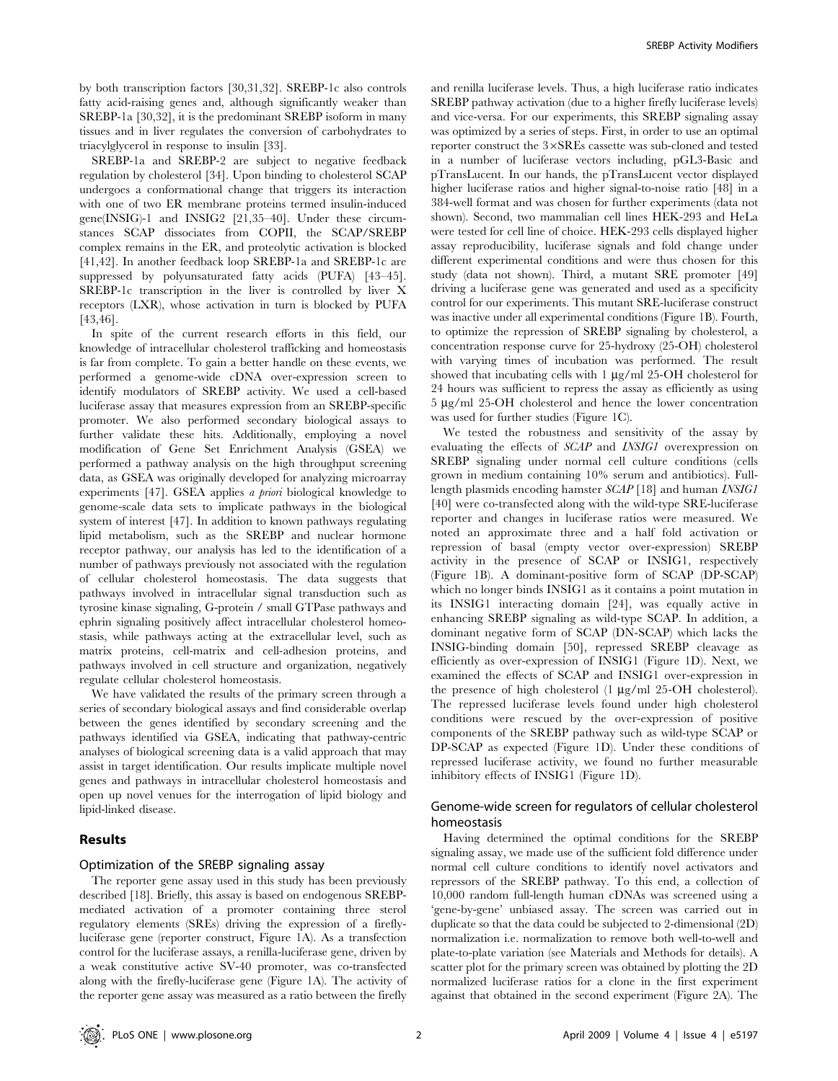by both transcription factors [30,31,32]. SREBP-1c also controls fatty acid-raising genes and, although significantly weaker than SREBP-1a [30,32], it is the predominant SREBP isoform in many tissues and in liver regulates the conversion of carbohydrates to triacylglycerol in response to insulin [33].

SREBP-1a and SREBP-2 are subject to negative feedback regulation by cholesterol [34]. Upon binding to cholesterol SCAP undergoes a conformational change that triggers its interaction with one of two ER membrane proteins termed insulin-induced gene(INSIG)-1 and INSIG2 [21,35–40]. Under these circumstances SCAP dissociates from COPII, the SCAP/SREBP complex remains in the ER, and proteolytic activation is blocked [41,42]. In another feedback loop SREBP-1a and SREBP-1c are suppressed by polyunsaturated fatty acids (PUFA) [43–45]. SREBP-1c transcription in the liver is controlled by liver X receptors (LXR), whose activation in turn is blocked by PUFA [43,46].

In spite of the current research efforts in this field, our knowledge of intracellular cholesterol trafficking and homeostasis is far from complete. To gain a better handle on these events, we performed a genome-wide cDNA over-expression screen to identify modulators of SREBP activity. We used a cell-based luciferase assay that measures expression from an SREBP-specific promoter. We also performed secondary biological assays to further validate these hits. Additionally, employing a novel modification of Gene Set Enrichment Analysis (GSEA) we performed a pathway analysis on the high throughput screening data, as GSEA was originally developed for analyzing microarray experiments [47]. GSEA applies a priori biological knowledge to genome-scale data sets to implicate pathways in the biological system of interest [47]. In addition to known pathways regulating lipid metabolism, such as the SREBP and nuclear hormone receptor pathway, our analysis has led to the identification of a number of pathways previously not associated with the regulation of cellular cholesterol homeostasis. The data suggests that pathways involved in intracellular signal transduction such as tyrosine kinase signaling, G-protein / small GTPase pathways and ephrin signaling positively affect intracellular cholesterol homeostasis, while pathways acting at the extracellular level, such as matrix proteins, cell-matrix and cell-adhesion proteins, and pathways involved in cell structure and organization, negatively regulate cellular cholesterol homeostasis.

We have validated the results of the primary screen through a series of secondary biological assays and find considerable overlap between the genes identified by secondary screening and the pathways identified via GSEA, indicating that pathway-centric analyses of biological screening data is a valid approach that may assist in target identification. Our results implicate multiple novel genes and pathways in intracellular cholesterol homeostasis and open up novel venues for the interrogation of lipid biology and lipid-linked disease.

## Results

## Optimization of the SREBP signaling assay

The reporter gene assay used in this study has been previously described [18]. Briefly, this assay is based on endogenous SREBPmediated activation of a promoter containing three sterol regulatory elements (SREs) driving the expression of a fireflyluciferase gene (reporter construct, Figure 1A). As a transfection control for the luciferase assays, a renilla-luciferase gene, driven by a weak constitutive active SV-40 promoter, was co-transfected along with the firefly-luciferase gene (Figure 1A). The activity of the reporter gene assay was measured as a ratio between the firefly and renilla luciferase levels. Thus, a high luciferase ratio indicates SREBP pathway activation (due to a higher firefly luciferase levels) and vice-versa. For our experiments, this SREBP signaling assay was optimized by a series of steps. First, in order to use an optimal reporter construct the  $3\times$ SREs cassette was sub-cloned and tested in a number of luciferase vectors including, pGL3-Basic and pTransLucent. In our hands, the pTransLucent vector displayed higher luciferase ratios and higher signal-to-noise ratio [48] in a 384-well format and was chosen for further experiments (data not shown). Second, two mammalian cell lines HEK-293 and HeLa were tested for cell line of choice. HEK-293 cells displayed higher assay reproducibility, luciferase signals and fold change under different experimental conditions and were thus chosen for this study (data not shown). Third, a mutant SRE promoter [49] driving a luciferase gene was generated and used as a specificity control for our experiments. This mutant SRE-luciferase construct was inactive under all experimental conditions (Figure 1B). Fourth, to optimize the repression of SREBP signaling by cholesterol, a concentration response curve for 25-hydroxy (25-OH) cholesterol with varying times of incubation was performed. The result showed that incubating cells with  $1 \mu g/ml$  25-OH cholesterol for 24 hours was sufficient to repress the assay as efficiently as using  $5 \mu g/ml$  25-OH cholesterol and hence the lower concentration was used for further studies (Figure 1C).

We tested the robustness and sensitivity of the assay by evaluating the effects of SCAP and INSIG1 overexpression on SREBP signaling under normal cell culture conditions (cells grown in medium containing 10% serum and antibiotics). Fulllength plasmids encoding hamster SCAP [18] and human INSIG1 [40] were co-transfected along with the wild-type SRE-luciferase reporter and changes in luciferase ratios were measured. We noted an approximate three and a half fold activation or repression of basal (empty vector over-expression) SREBP activity in the presence of SCAP or INSIG1, respectively (Figure 1B). A dominant-positive form of SCAP (DP-SCAP) which no longer binds INSIG1 as it contains a point mutation in its INSIG1 interacting domain [24], was equally active in enhancing SREBP signaling as wild-type SCAP. In addition, a dominant negative form of SCAP (DN-SCAP) which lacks the INSIG-binding domain [50], repressed SREBP cleavage as efficiently as over-expression of INSIG1 (Figure 1D). Next, we examined the effects of SCAP and INSIG1 over-expression in the presence of high cholesterol  $(1 \mu g/ml 25-OH$  cholesterol). The repressed luciferase levels found under high cholesterol conditions were rescued by the over-expression of positive components of the SREBP pathway such as wild-type SCAP or DP-SCAP as expected (Figure 1D). Under these conditions of repressed luciferase activity, we found no further measurable inhibitory effects of INSIG1 (Figure 1D).

## Genome-wide screen for regulators of cellular cholesterol homeostasis

Having determined the optimal conditions for the SREBP signaling assay, we made use of the sufficient fold difference under normal cell culture conditions to identify novel activators and repressors of the SREBP pathway. To this end, a collection of 10,000 random full-length human cDNAs was screened using a 'gene-by-gene' unbiased assay. The screen was carried out in duplicate so that the data could be subjected to 2-dimensional (2D) normalization i.e. normalization to remove both well-to-well and plate-to-plate variation (see Materials and Methods for details). A scatter plot for the primary screen was obtained by plotting the 2D normalized luciferase ratios for a clone in the first experiment against that obtained in the second experiment (Figure 2A). The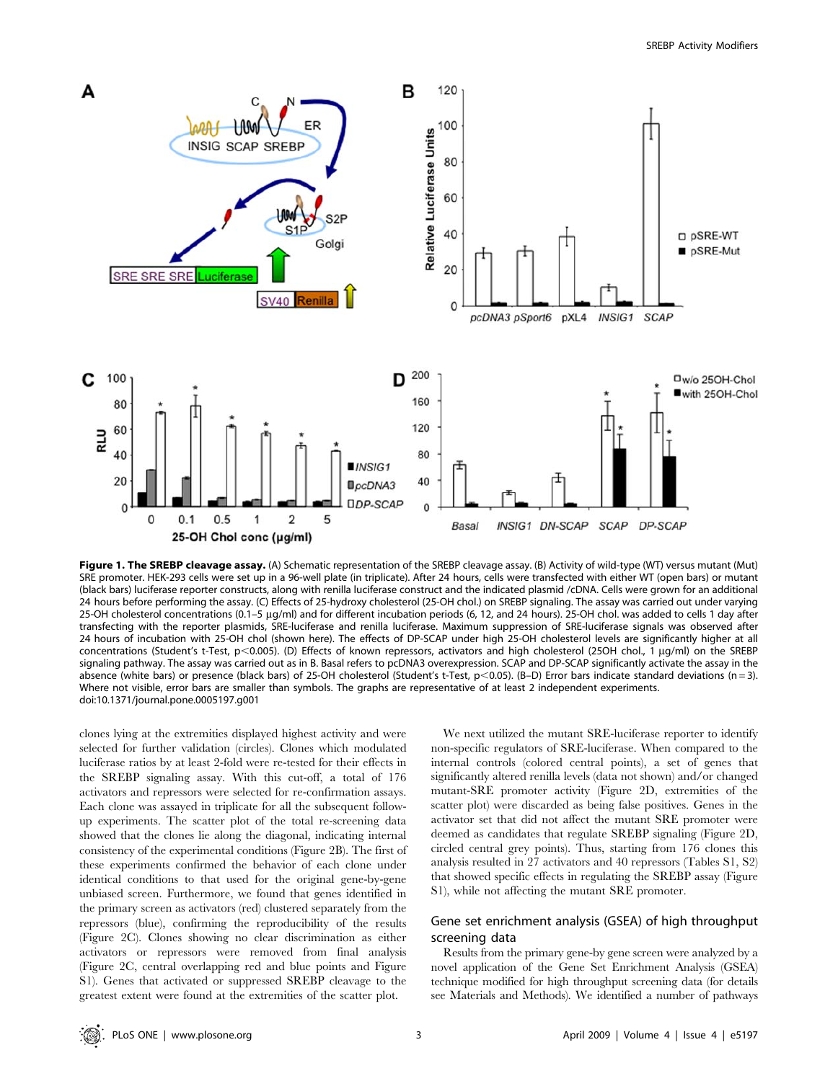

Figure 1. The SREBP cleavage assay. (A) Schematic representation of the SREBP cleavage assay. (B) Activity of wild-type (WT) versus mutant (Mut) SRE promoter. HEK-293 cells were set up in a 96-well plate (in triplicate). After 24 hours, cells were transfected with either WT (open bars) or mutant (black bars) luciferase reporter constructs, along with renilla luciferase construct and the indicated plasmid /cDNA. Cells were grown for an additional 24 hours before performing the assay. (C) Effects of 25-hydroxy cholesterol (25-OH chol.) on SREBP signaling. The assay was carried out under varying 25-OH cholesterol concentrations (0.1–5 µg/ml) and for different incubation periods (6, 12, and 24 hours). 25-OH chol. was added to cells 1 day after transfecting with the reporter plasmids, SRE-luciferase and renilla luciferase. Maximum suppression of SRE-luciferase signals was observed after 24 hours of incubation with 25-OH chol (shown here). The effects of DP-SCAP under high 25-OH cholesterol levels are significantly higher at all concentrations (Student's t-Test, p<0.005). (D) Effects of known repressors, activators and high cholesterol (25OH chol., 1 µg/ml) on the SREBP signaling pathway. The assay was carried out as in B. Basal refers to pcDNA3 overexpression. SCAP and DP-SCAP significantly activate the assay in the absence (white bars) or presence (black bars) of 25-OH cholesterol (Student's t-Test, p<0.05). (B-D) Error bars indicate standard deviations (n = 3). Where not visible, error bars are smaller than symbols. The graphs are representative of at least 2 independent experiments. doi:10.1371/journal.pone.0005197.g001

clones lying at the extremities displayed highest activity and were selected for further validation (circles). Clones which modulated luciferase ratios by at least 2-fold were re-tested for their effects in the SREBP signaling assay. With this cut-off, a total of 176 activators and repressors were selected for re-confirmation assays. Each clone was assayed in triplicate for all the subsequent followup experiments. The scatter plot of the total re-screening data showed that the clones lie along the diagonal, indicating internal consistency of the experimental conditions (Figure 2B). The first of these experiments confirmed the behavior of each clone under identical conditions to that used for the original gene-by-gene unbiased screen. Furthermore, we found that genes identified in the primary screen as activators (red) clustered separately from the repressors (blue), confirming the reproducibility of the results (Figure 2C). Clones showing no clear discrimination as either activators or repressors were removed from final analysis (Figure 2C, central overlapping red and blue points and Figure S1). Genes that activated or suppressed SREBP cleavage to the greatest extent were found at the extremities of the scatter plot.

We next utilized the mutant SRE-luciferase reporter to identify non-specific regulators of SRE-luciferase. When compared to the internal controls (colored central points), a set of genes that significantly altered renilla levels (data not shown) and/or changed mutant-SRE promoter activity (Figure 2D, extremities of the scatter plot) were discarded as being false positives. Genes in the activator set that did not affect the mutant SRE promoter were deemed as candidates that regulate SREBP signaling (Figure 2D, circled central grey points). Thus, starting from 176 clones this analysis resulted in 27 activators and 40 repressors (Tables S1, S2) that showed specific effects in regulating the SREBP assay (Figure S1), while not affecting the mutant SRE promoter.

## Gene set enrichment analysis (GSEA) of high throughput screening data

Results from the primary gene-by gene screen were analyzed by a novel application of the Gene Set Enrichment Analysis (GSEA) technique modified for high throughput screening data (for details see Materials and Methods). We identified a number of pathways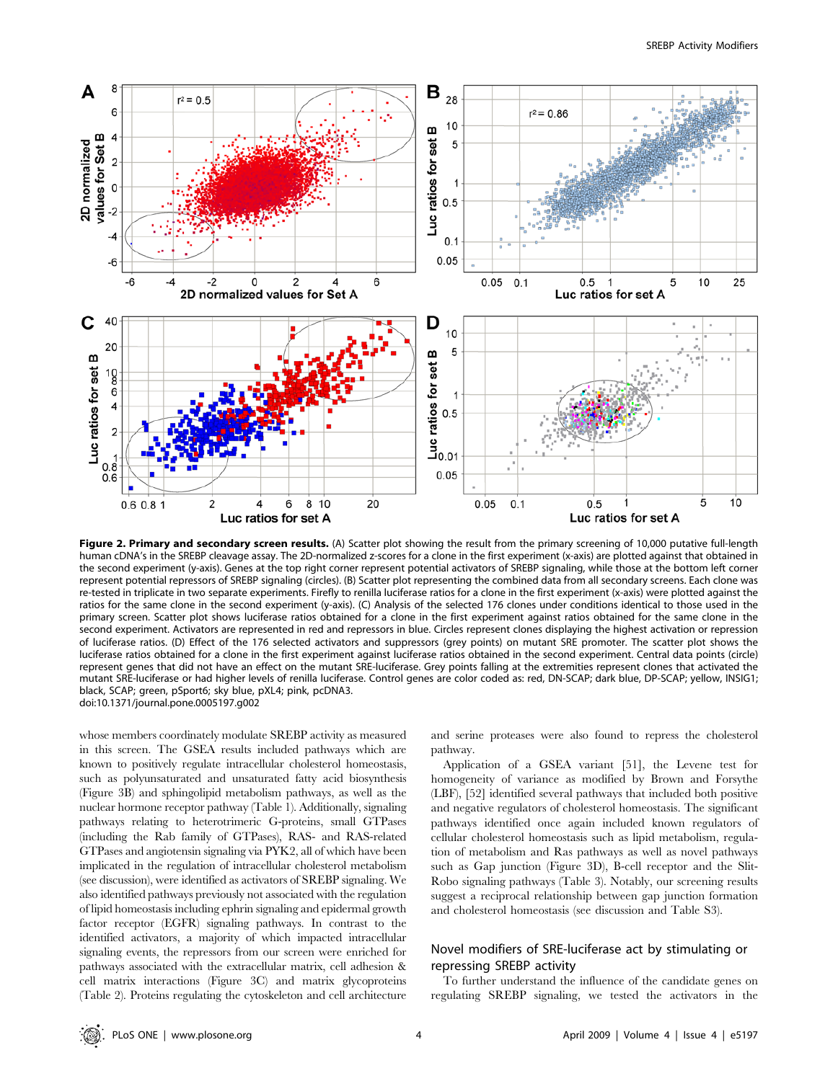

Figure 2. Primary and secondary screen results. (A) Scatter plot showing the result from the primary screening of 10,000 putative full-length human cDNA's in the SREBP cleavage assay. The 2D-normalized z-scores for a clone in the first experiment (x-axis) are plotted against that obtained in the second experiment (y-axis). Genes at the top right corner represent potential activators of SREBP signaling, while those at the bottom left corner represent potential repressors of SREBP signaling (circles). (B) Scatter plot representing the combined data from all secondary screens. Each clone was re-tested in triplicate in two separate experiments. Firefly to renilla luciferase ratios for a clone in the first experiment (x-axis) were plotted against the ratios for the same clone in the second experiment (y-axis). (C) Analysis of the selected 176 clones under conditions identical to those used in the primary screen. Scatter plot shows luciferase ratios obtained for a clone in the first experiment against ratios obtained for the same clone in the second experiment. Activators are represented in red and repressors in blue. Circles represent clones displaying the highest activation or repression of luciferase ratios. (D) Effect of the 176 selected activators and suppressors (grey points) on mutant SRE promoter. The scatter plot shows the luciferase ratios obtained for a clone in the first experiment against luciferase ratios obtained in the second experiment. Central data points (circle) represent genes that did not have an effect on the mutant SRE-luciferase. Grey points falling at the extremities represent clones that activated the mutant SRE-luciferase or had higher levels of renilla luciferase. Control genes are color coded as: red, DN-SCAP; dark blue, DP-SCAP; yellow, INSIG1; black, SCAP; green, pSport6; sky blue, pXL4; pink, pcDNA3. doi:10.1371/journal.pone.0005197.g002

whose members coordinately modulate SREBP activity as measured in this screen. The GSEA results included pathways which are known to positively regulate intracellular cholesterol homeostasis, such as polyunsaturated and unsaturated fatty acid biosynthesis (Figure 3B) and sphingolipid metabolism pathways, as well as the nuclear hormone receptor pathway (Table 1). Additionally, signaling pathways relating to heterotrimeric G-proteins, small GTPases (including the Rab family of GTPases), RAS- and RAS-related GTPases and angiotensin signaling via PYK2, all of which have been implicated in the regulation of intracellular cholesterol metabolism (see discussion), were identified as activators of SREBP signaling. We also identified pathways previously not associated with the regulation of lipid homeostasis including ephrin signaling and epidermal growth factor receptor (EGFR) signaling pathways. In contrast to the identified activators, a majority of which impacted intracellular signaling events, the repressors from our screen were enriched for pathways associated with the extracellular matrix, cell adhesion & cell matrix interactions (Figure 3C) and matrix glycoproteins (Table 2). Proteins regulating the cytoskeleton and cell architecture

and serine proteases were also found to repress the cholesterol pathway.

Application of a GSEA variant [51], the Levene test for homogeneity of variance as modified by Brown and Forsythe (LBF), [52] identified several pathways that included both positive and negative regulators of cholesterol homeostasis. The significant pathways identified once again included known regulators of cellular cholesterol homeostasis such as lipid metabolism, regulation of metabolism and Ras pathways as well as novel pathways such as Gap junction (Figure 3D), B-cell receptor and the Slit-Robo signaling pathways (Table 3). Notably, our screening results suggest a reciprocal relationship between gap junction formation and cholesterol homeostasis (see discussion and Table S3).

## Novel modifiers of SRE-luciferase act by stimulating or repressing SREBP activity

To further understand the influence of the candidate genes on regulating SREBP signaling, we tested the activators in the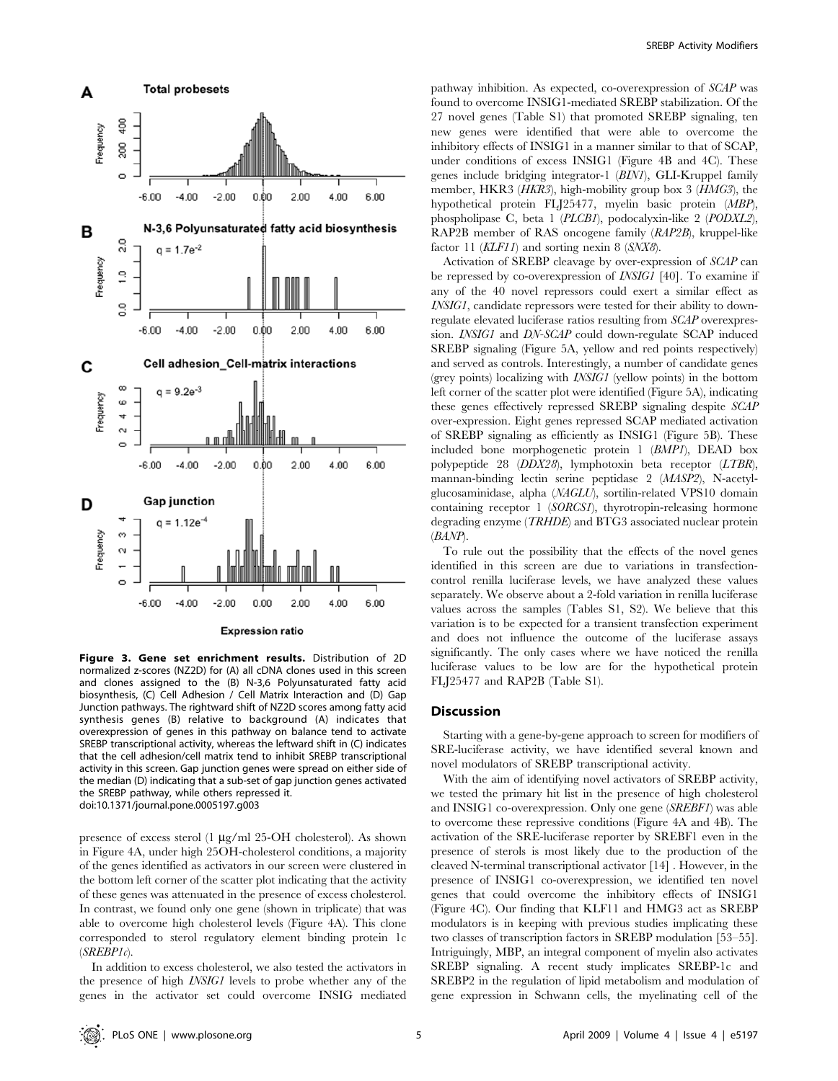

Figure 3. Gene set enrichment results. Distribution of 2D normalized z-scores (NZ2D) for (A) all cDNA clones used in this screen and clones assigned to the (B) N-3,6 Polyunsaturated fatty acid biosynthesis, (C) Cell Adhesion / Cell Matrix Interaction and (D) Gap Junction pathways. The rightward shift of NZ2D scores among fatty acid synthesis genes (B) relative to background (A) indicates that overexpression of genes in this pathway on balance tend to activate SREBP transcriptional activity, whereas the leftward shift in (C) indicates that the cell adhesion/cell matrix tend to inhibit SREBP transcriptional activity in this screen. Gap junction genes were spread on either side of the median (D) indicating that a sub-set of gap junction genes activated the SREBP pathway, while others repressed it. doi:10.1371/journal.pone.0005197.g003

presence of excess sterol  $(1 \mu g/ml 25-OH$  cholesterol). As shown in Figure 4A, under high 25OH-cholesterol conditions, a majority of the genes identified as activators in our screen were clustered in the bottom left corner of the scatter plot indicating that the activity of these genes was attenuated in the presence of excess cholesterol. In contrast, we found only one gene (shown in triplicate) that was able to overcome high cholesterol levels (Figure 4A). This clone corresponded to sterol regulatory element binding protein 1c  $(SREBPIc)$ .

In addition to excess cholesterol, we also tested the activators in the presence of high INSIG1 levels to probe whether any of the genes in the activator set could overcome INSIG mediated pathway inhibition. As expected, co-overexpression of SCAP was found to overcome INSIG1-mediated SREBP stabilization. Of the 27 novel genes (Table S1) that promoted SREBP signaling, ten new genes were identified that were able to overcome the inhibitory effects of INSIG1 in a manner similar to that of SCAP, under conditions of excess INSIG1 (Figure 4B and 4C). These genes include bridging integrator-1 (BIN1), GLI-Kruppel family member, HKR3 (*HKR3*), high-mobility group box 3 (*HMG3*), the hypothetical protein FLJ25477, myelin basic protein (MBP), phospholipase C, beta 1 (PLCB1), podocalyxin-like 2 (PODXL2), RAP2B member of RAS oncogene family (RAP2B), kruppel-like factor 11 (KLF11) and sorting nexin 8 (SNX8).

Activation of SREBP cleavage by over-expression of SCAP can be repressed by co-overexpression of INSIG1 [40]. To examine if any of the 40 novel repressors could exert a similar effect as INSIG1, candidate repressors were tested for their ability to downregulate elevated luciferase ratios resulting from SCAP overexpression. INSIG1 and DN-SCAP could down-regulate SCAP induced SREBP signaling (Figure 5A, yellow and red points respectively) and served as controls. Interestingly, a number of candidate genes (grey points) localizing with INSIG1 (yellow points) in the bottom left corner of the scatter plot were identified (Figure 5A), indicating these genes effectively repressed SREBP signaling despite SCAP over-expression. Eight genes repressed SCAP mediated activation of SREBP signaling as efficiently as INSIG1 (Figure 5B). These included bone morphogenetic protein 1 (BMP1), DEAD box polypeptide 28 (DDX28), lymphotoxin beta receptor (LTBR), mannan-binding lectin serine peptidase 2 (MASP2), N-acetylglucosaminidase, alpha (NAGLU), sortilin-related VPS10 domain containing receptor 1 (SORCS1), thyrotropin-releasing hormone degrading enzyme (TRHDE) and BTG3 associated nuclear protein (BANP).

To rule out the possibility that the effects of the novel genes identified in this screen are due to variations in transfectioncontrol renilla luciferase levels, we have analyzed these values separately. We observe about a 2-fold variation in renilla luciferase values across the samples (Tables S1, S2). We believe that this variation is to be expected for a transient transfection experiment and does not influence the outcome of the luciferase assays significantly. The only cases where we have noticed the renilla luciferase values to be low are for the hypothetical protein FLJ25477 and RAP2B (Table S1).

#### **Discussion**

Starting with a gene-by-gene approach to screen for modifiers of SRE-luciferase activity, we have identified several known and novel modulators of SREBP transcriptional activity.

With the aim of identifying novel activators of SREBP activity, we tested the primary hit list in the presence of high cholesterol and INSIG1 co-overexpression. Only one gene (SREBF1) was able to overcome these repressive conditions (Figure 4A and 4B). The activation of the SRE-luciferase reporter by SREBF1 even in the presence of sterols is most likely due to the production of the cleaved N-terminal transcriptional activator [14] . However, in the presence of INSIG1 co-overexpression, we identified ten novel genes that could overcome the inhibitory effects of INSIG1 (Figure 4C). Our finding that KLF11 and HMG3 act as SREBP modulators is in keeping with previous studies implicating these two classes of transcription factors in SREBP modulation [53–55]. Intriguingly, MBP, an integral component of myelin also activates SREBP signaling. A recent study implicates SREBP-1c and SREBP2 in the regulation of lipid metabolism and modulation of gene expression in Schwann cells, the myelinating cell of the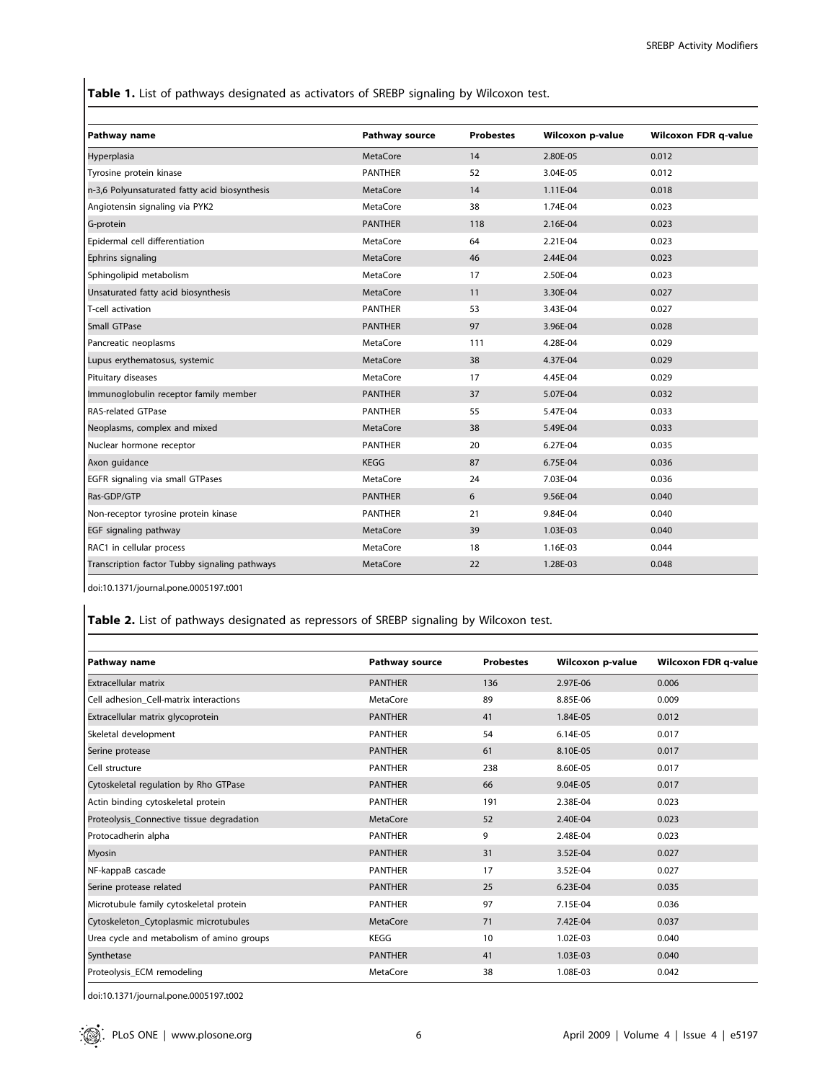Table 1. List of pathways designated as activators of SREBP signaling by Wilcoxon test.

| Pathway name                                  | Pathway source  | <b>Probestes</b> | Wilcoxon p-value | <b>Wilcoxon FDR q-value</b> |
|-----------------------------------------------|-----------------|------------------|------------------|-----------------------------|
| Hyperplasia                                   | <b>MetaCore</b> | 14               | 2.80E-05         | 0.012                       |
| Tyrosine protein kinase                       | <b>PANTHER</b>  | 52               | 3.04E-05         | 0.012                       |
| n-3,6 Polyunsaturated fatty acid biosynthesis | <b>MetaCore</b> | 14               | 1.11E-04         | 0.018                       |
| Angiotensin signaling via PYK2                | <b>MetaCore</b> | 38               | 1.74E-04         | 0.023                       |
| G-protein                                     | <b>PANTHER</b>  | 118              | 2.16E-04         | 0.023                       |
| Epidermal cell differentiation                | <b>MetaCore</b> | 64               | 2.21E-04         | 0.023                       |
| Ephrins signaling                             | <b>MetaCore</b> | 46               | 2.44E-04         | 0.023                       |
| Sphingolipid metabolism                       | <b>MetaCore</b> | 17               | 2.50E-04         | 0.023                       |
| Unsaturated fatty acid biosynthesis           | <b>MetaCore</b> | 11               | 3.30E-04         | 0.027                       |
| T-cell activation                             | <b>PANTHER</b>  | 53               | 3.43E-04         | 0.027                       |
| Small GTPase                                  | <b>PANTHER</b>  | 97               | 3.96E-04         | 0.028                       |
| Pancreatic neoplasms                          | <b>MetaCore</b> | 111              | 4.28E-04         | 0.029                       |
| Lupus erythematosus, systemic                 | <b>MetaCore</b> | 38               | 4.37E-04         | 0.029                       |
| Pituitary diseases                            | <b>MetaCore</b> | 17               | 4.45E-04         | 0.029                       |
| Immunoglobulin receptor family member         | <b>PANTHER</b>  | 37               | 5.07E-04         | 0.032                       |
| <b>RAS-related GTPase</b>                     | <b>PANTHER</b>  | 55               | 5.47E-04         | 0.033                       |
| Neoplasms, complex and mixed                  | <b>MetaCore</b> | 38               | 5.49E-04         | 0.033                       |
| Nuclear hormone receptor                      | <b>PANTHER</b>  | 20               | 6.27E-04         | 0.035                       |
| Axon guidance                                 | <b>KEGG</b>     | 87               | 6.75E-04         | 0.036                       |
| EGFR signaling via small GTPases              | <b>MetaCore</b> | 24               | 7.03E-04         | 0.036                       |
| Ras-GDP/GTP                                   | <b>PANTHER</b>  | 6                | 9.56E-04         | 0.040                       |
| Non-receptor tyrosine protein kinase          | <b>PANTHER</b>  | 21               | 9.84E-04         | 0.040                       |
| EGF signaling pathway                         | <b>MetaCore</b> | 39               | 1.03E-03         | 0.040                       |
| RAC1 in cellular process                      | <b>MetaCore</b> | 18               | 1.16E-03         | 0.044                       |
| Transcription factor Tubby signaling pathways | <b>MetaCore</b> | 22               | 1.28E-03         | 0.048                       |

doi:10.1371/journal.pone.0005197.t001

# Table 2. List of pathways designated as repressors of SREBP signaling by Wilcoxon test.

| Pathway name                              | <b>Pathway source</b> | <b>Probestes</b> | Wilcoxon p-value | <b>Wilcoxon FDR q-value</b> |
|-------------------------------------------|-----------------------|------------------|------------------|-----------------------------|
| <b>Extracellular matrix</b>               | <b>PANTHER</b>        | 136              | 2.97E-06         | 0.006                       |
| Cell adhesion Cell-matrix interactions    | MetaCore              | 89               | 8.85E-06         | 0.009                       |
| Extracellular matrix glycoprotein         | <b>PANTHER</b>        | 41               | 1.84E-05         | 0.012                       |
| Skeletal development                      | <b>PANTHER</b>        | 54               | 6.14E-05         | 0.017                       |
| Serine protease                           | <b>PANTHER</b>        | 61               | 8.10E-05         | 0.017                       |
| Cell structure                            | <b>PANTHER</b>        | 238              | 8.60E-05         | 0.017                       |
| Cytoskeletal regulation by Rho GTPase     | <b>PANTHER</b>        | 66               | 9.04E-05         | 0.017                       |
| Actin binding cytoskeletal protein        | <b>PANTHER</b>        | 191              | 2.38E-04         | 0.023                       |
| Proteolysis_Connective tissue degradation | MetaCore              | 52               | 2.40E-04         | 0.023                       |
| Protocadherin alpha                       | <b>PANTHER</b>        | 9                | 2.48E-04         | 0.023                       |
| Myosin                                    | <b>PANTHER</b>        | 31               | 3.52E-04         | 0.027                       |
| NF-kappaB cascade                         | <b>PANTHER</b>        | 17               | 3.52E-04         | 0.027                       |
| Serine protease related                   | <b>PANTHER</b>        | 25               | 6.23E-04         | 0.035                       |
| Microtubule family cytoskeletal protein   | <b>PANTHER</b>        | 97               | 7.15E-04         | 0.036                       |
| Cytoskeleton_Cytoplasmic microtubules     | <b>MetaCore</b>       | 71               | 7.42E-04         | 0.037                       |
| Urea cycle and metabolism of amino groups | KEGG                  | 10               | 1.02E-03         | 0.040                       |
| Synthetase                                | <b>PANTHER</b>        | 41               | 1.03E-03         | 0.040                       |
| Proteolysis ECM remodeling                | MetaCore              | 38               | 1.08E-03         | 0.042                       |

doi:10.1371/journal.pone.0005197.t002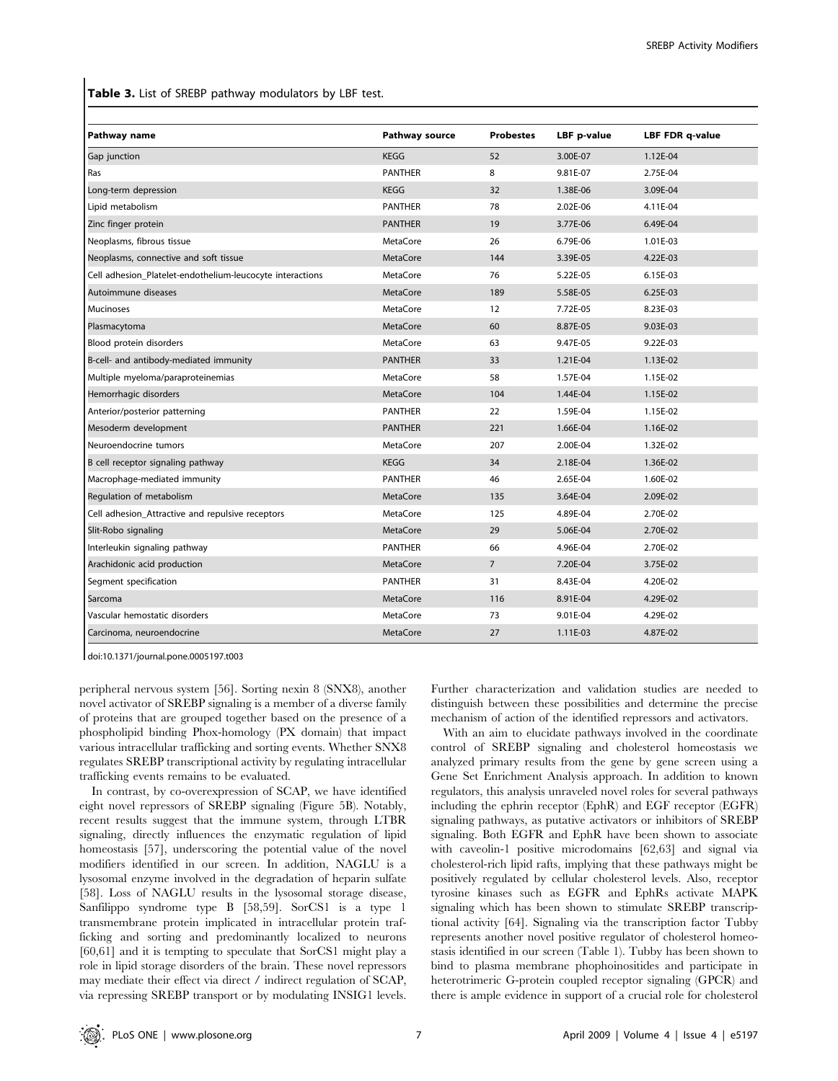Table 3. List of SREBP pathway modulators by LBF test.

| Pathway name                                              | <b>Pathway source</b> | <b>Probestes</b> | LBF p-value | <b>LBF FDR q-value</b> |
|-----------------------------------------------------------|-----------------------|------------------|-------------|------------------------|
|                                                           |                       |                  |             |                        |
| Gap junction                                              | <b>KEGG</b>           | 52               | 3.00E-07    | 1.12E-04               |
| Ras                                                       | <b>PANTHER</b>        | 8                | 9.81E-07    | 2.75E-04               |
| Long-term depression                                      | <b>KEGG</b>           | 32               | 1.38E-06    | 3.09E-04               |
| Lipid metabolism                                          | <b>PANTHER</b>        | 78               | 2.02E-06    | 4.11E-04               |
| Zinc finger protein                                       | <b>PANTHER</b>        | 19               | 3.77E-06    | 6.49E-04               |
| Neoplasms, fibrous tissue                                 | <b>MetaCore</b>       | 26               | 6.79E-06    | 1.01E-03               |
| Neoplasms, connective and soft tissue                     | <b>MetaCore</b>       | 144              | 3.39E-05    | 4.22E-03               |
| Cell adhesion_Platelet-endothelium-leucocyte interactions | <b>MetaCore</b>       | 76               | 5.22E-05    | 6.15E-03               |
| Autoimmune diseases                                       | <b>MetaCore</b>       | 189              | 5.58E-05    | 6.25E-03               |
| <b>Mucinoses</b>                                          | <b>MetaCore</b>       | 12               | 7.72E-05    | 8.23E-03               |
| Plasmacytoma                                              | <b>MetaCore</b>       | 60               | 8.87E-05    | 9.03E-03               |
| Blood protein disorders                                   | MetaCore              | 63               | 9.47E-05    | $9.22E - 03$           |
| B-cell- and antibody-mediated immunity                    | <b>PANTHER</b>        | 33               | 1.21E-04    | 1.13E-02               |
| Multiple myeloma/paraproteinemias                         | <b>MetaCore</b>       | 58               | 1.57E-04    | 1.15E-02               |
| Hemorrhagic disorders                                     | <b>MetaCore</b>       | 104              | 1.44E-04    | 1.15E-02               |
| Anterior/posterior patterning                             | <b>PANTHER</b>        | 22               | 1.59E-04    | 1.15E-02               |
| Mesoderm development                                      | <b>PANTHER</b>        | 221              | 1.66E-04    | 1.16E-02               |
| Neuroendocrine tumors                                     | <b>MetaCore</b>       | 207              | 2.00E-04    | 1.32E-02               |
| B cell receptor signaling pathway                         | <b>KEGG</b>           | 34               | 2.18E-04    | 1.36E-02               |
| Macrophage-mediated immunity                              | <b>PANTHER</b>        | 46               | 2.65E-04    | 1.60E-02               |
| Regulation of metabolism                                  | <b>MetaCore</b>       | 135              | 3.64E-04    | 2.09E-02               |
| Cell adhesion_Attractive and repulsive receptors          | <b>MetaCore</b>       | 125              | 4.89E-04    | 2.70E-02               |
| Slit-Robo signaling                                       | <b>MetaCore</b>       | 29               | 5.06E-04    | 2.70E-02               |
| Interleukin signaling pathway                             | <b>PANTHER</b>        | 66               | 4.96E-04    | 2.70E-02               |
| Arachidonic acid production                               | <b>MetaCore</b>       | $\overline{7}$   | 7.20E-04    | 3.75E-02               |
| Segment specification                                     | <b>PANTHER</b>        | 31               | 8.43E-04    | 4.20E-02               |
| Sarcoma                                                   | <b>MetaCore</b>       | 116              | 8.91E-04    | 4.29E-02               |
| Vascular hemostatic disorders                             | <b>MetaCore</b>       | 73               | 9.01E-04    | 4.29E-02               |
| Carcinoma, neuroendocrine                                 | <b>MetaCore</b>       | 27               | 1.11E-03    | 4.87E-02               |

doi:10.1371/journal.pone.0005197.t003

peripheral nervous system [56]. Sorting nexin 8 (SNX8), another novel activator of SREBP signaling is a member of a diverse family of proteins that are grouped together based on the presence of a phospholipid binding Phox-homology (PX domain) that impact various intracellular trafficking and sorting events. Whether SNX8 regulates SREBP transcriptional activity by regulating intracellular trafficking events remains to be evaluated.

In contrast, by co-overexpression of SCAP, we have identified eight novel repressors of SREBP signaling (Figure 5B). Notably, recent results suggest that the immune system, through LTBR signaling, directly influences the enzymatic regulation of lipid homeostasis [57], underscoring the potential value of the novel modifiers identified in our screen. In addition, NAGLU is a lysosomal enzyme involved in the degradation of heparin sulfate [58]. Loss of NAGLU results in the lysosomal storage disease, Sanfilippo syndrome type B [58,59]. SorCS1 is a type 1 transmembrane protein implicated in intracellular protein trafficking and sorting and predominantly localized to neurons [60,61] and it is tempting to speculate that SorCS1 might play a role in lipid storage disorders of the brain. These novel repressors may mediate their effect via direct / indirect regulation of SCAP, via repressing SREBP transport or by modulating INSIG1 levels.

Further characterization and validation studies are needed to distinguish between these possibilities and determine the precise mechanism of action of the identified repressors and activators.

With an aim to elucidate pathways involved in the coordinate control of SREBP signaling and cholesterol homeostasis we analyzed primary results from the gene by gene screen using a Gene Set Enrichment Analysis approach. In addition to known regulators, this analysis unraveled novel roles for several pathways including the ephrin receptor (EphR) and EGF receptor (EGFR) signaling pathways, as putative activators or inhibitors of SREBP signaling. Both EGFR and EphR have been shown to associate with caveolin-1 positive microdomains [62,63] and signal via cholesterol-rich lipid rafts, implying that these pathways might be positively regulated by cellular cholesterol levels. Also, receptor tyrosine kinases such as EGFR and EphRs activate MAPK signaling which has been shown to stimulate SREBP transcriptional activity [64]. Signaling via the transcription factor Tubby represents another novel positive regulator of cholesterol homeostasis identified in our screen (Table 1). Tubby has been shown to bind to plasma membrane phophoinositides and participate in heterotrimeric G-protein coupled receptor signaling (GPCR) and there is ample evidence in support of a crucial role for cholesterol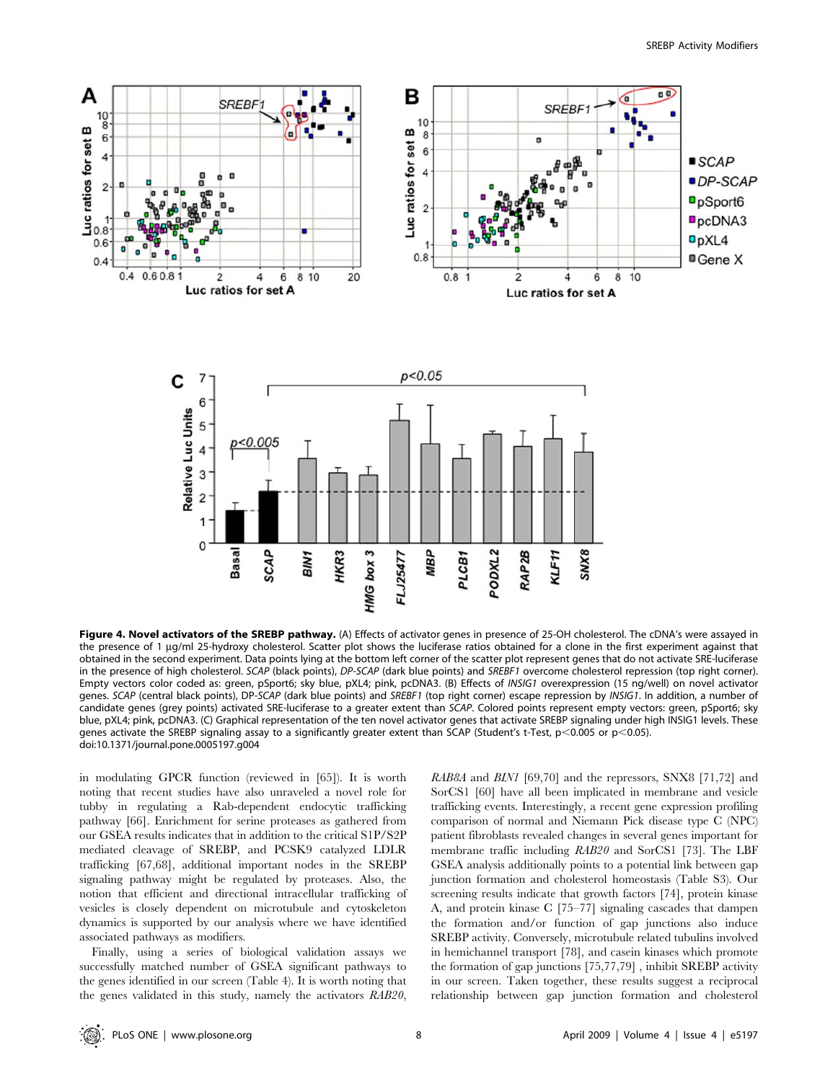

Figure 4. Novel activators of the SREBP pathway. (A) Effects of activator genes in presence of 25-OH cholesterol. The cDNA's were assayed in the presence of 1 µg/ml 25-hydroxy cholesterol. Scatter plot shows the luciferase ratios obtained for a clone in the first experiment against that obtained in the second experiment. Data points lying at the bottom left corner of the scatter plot represent genes that do not activate SRE-luciferase in the presence of high cholesterol. SCAP (black points), DP-SCAP (dark blue points) and SREBF1 overcome cholesterol repression (top right corner). Empty vectors color coded as: green, pSport6; sky blue, pXL4; pink, pcDNA3. (B) Effects of INSIG1 overexpression (15 ng/well) on novel activator genes. SCAP (central black points), DP-SCAP (dark blue points) and SREBF1 (top right corner) escape repression by INSIG1. In addition, a number of candidate genes (grey points) activated SRE-luciferase to a greater extent than SCAP. Colored points represent empty vectors: green, pSport6; sky blue, pXL4; pink, pcDNA3. (C) Graphical representation of the ten novel activator genes that activate SREBP signaling under high INSIG1 levels. These genes activate the SREBP signaling assay to a significantly greater extent than SCAP (Student's t-Test,  $p<0.005$  or  $p<0.05$ ). doi:10.1371/journal.pone.0005197.g004

in modulating GPCR function (reviewed in [65]). It is worth noting that recent studies have also unraveled a novel role for tubby in regulating a Rab-dependent endocytic trafficking pathway [66]. Enrichment for serine proteases as gathered from our GSEA results indicates that in addition to the critical S1P/S2P mediated cleavage of SREBP, and PCSK9 catalyzed LDLR trafficking [67,68], additional important nodes in the SREBP signaling pathway might be regulated by proteases. Also, the notion that efficient and directional intracellular trafficking of vesicles is closely dependent on microtubule and cytoskeleton dynamics is supported by our analysis where we have identified associated pathways as modifiers.

Finally, using a series of biological validation assays we successfully matched number of GSEA significant pathways to the genes identified in our screen (Table 4). It is worth noting that the genes validated in this study, namely the activators RAB20,

RAB8A and BIN1 [69,70] and the repressors, SNX8 [71,72] and SorCS1 [60] have all been implicated in membrane and vesicle trafficking events. Interestingly, a recent gene expression profiling comparison of normal and Niemann Pick disease type C (NPC) patient fibroblasts revealed changes in several genes important for membrane traffic including RAB20 and SorCS1 [73]. The LBF GSEA analysis additionally points to a potential link between gap junction formation and cholesterol homeostasis (Table S3). Our screening results indicate that growth factors [74], protein kinase A, and protein kinase C [75–77] signaling cascades that dampen the formation and/or function of gap junctions also induce SREBP activity. Conversely, microtubule related tubulins involved in hemichannel transport [78], and casein kinases which promote the formation of gap junctions [75,77,79] , inhibit SREBP activity in our screen. Taken together, these results suggest a reciprocal relationship between gap junction formation and cholesterol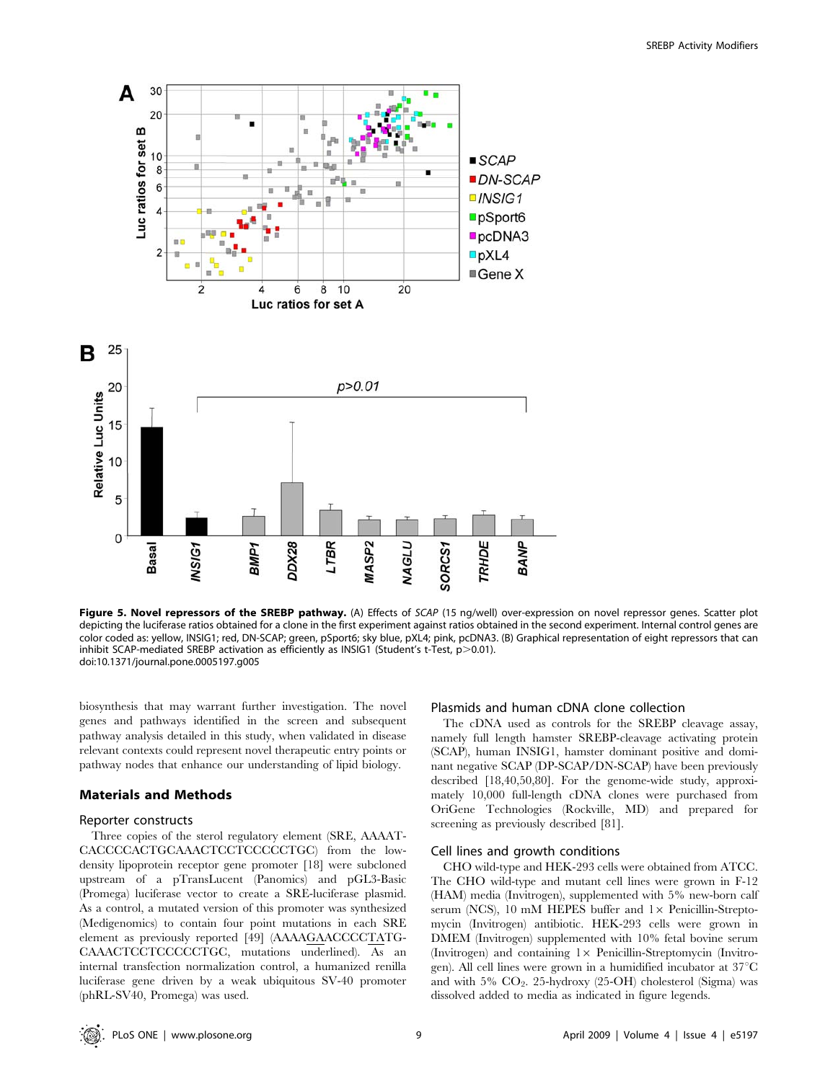

Figure 5. Novel repressors of the SREBP pathway. (A) Effects of SCAP (15 ng/well) over-expression on novel repressor genes. Scatter plot depicting the luciferase ratios obtained for a clone in the first experiment against ratios obtained in the second experiment. Internal control genes are color coded as: yellow, INSIG1; red, DN-SCAP; green, pSport6; sky blue, pXL4; pink, pcDNA3. (B) Graphical representation of eight repressors that can inhibit SCAP-mediated SREBP activation as efficiently as INSIG1 (Student's t-Test,  $p > 0.01$ ). doi:10.1371/journal.pone.0005197.g005

biosynthesis that may warrant further investigation. The novel genes and pathways identified in the screen and subsequent pathway analysis detailed in this study, when validated in disease relevant contexts could represent novel therapeutic entry points or pathway nodes that enhance our understanding of lipid biology.

#### Materials and Methods

#### Reporter constructs

Three copies of the sterol regulatory element (SRE, AAAAT-CACCCCACTGCAAACTCCTCCCCCTGC) from the lowdensity lipoprotein receptor gene promoter [18] were subcloned upstream of a pTransLucent (Panomics) and pGL3-Basic (Promega) luciferase vector to create a SRE-luciferase plasmid. As a control, a mutated version of this promoter was synthesized (Medigenomics) to contain four point mutations in each SRE element as previously reported [49] (AAAAGAACCCCTATG-CAAACTCCTCCCCCTGC, mutations underlined). As an internal transfection normalization control, a humanized renilla luciferase gene driven by a weak ubiquitous SV-40 promoter (phRL-SV40, Promega) was used.

## Plasmids and human cDNA clone collection

The cDNA used as controls for the SREBP cleavage assay, namely full length hamster SREBP-cleavage activating protein (SCAP), human INSIG1, hamster dominant positive and dominant negative SCAP (DP-SCAP/DN-SCAP) have been previously described [18,40,50,80]. For the genome-wide study, approximately 10,000 full-length cDNA clones were purchased from OriGene Technologies (Rockville, MD) and prepared for screening as previously described [81].

## Cell lines and growth conditions

CHO wild-type and HEK-293 cells were obtained from ATCC. The CHO wild-type and mutant cell lines were grown in F-12 (HAM) media (Invitrogen), supplemented with 5% new-born calf serum (NCS), 10 mM HEPES buffer and  $1\times$  Penicillin-Streptomycin (Invitrogen) antibiotic. HEK-293 cells were grown in DMEM (Invitrogen) supplemented with 10% fetal bovine serum (Invitrogen) and containing  $1\times$  Penicillin-Streptomycin (Invitrogen). All cell lines were grown in a humidified incubator at  $37^{\circ}$ C and with  $5\%$   $CO_2$ . 25-hydroxy (25-OH) cholesterol (Sigma) was dissolved added to media as indicated in figure legends.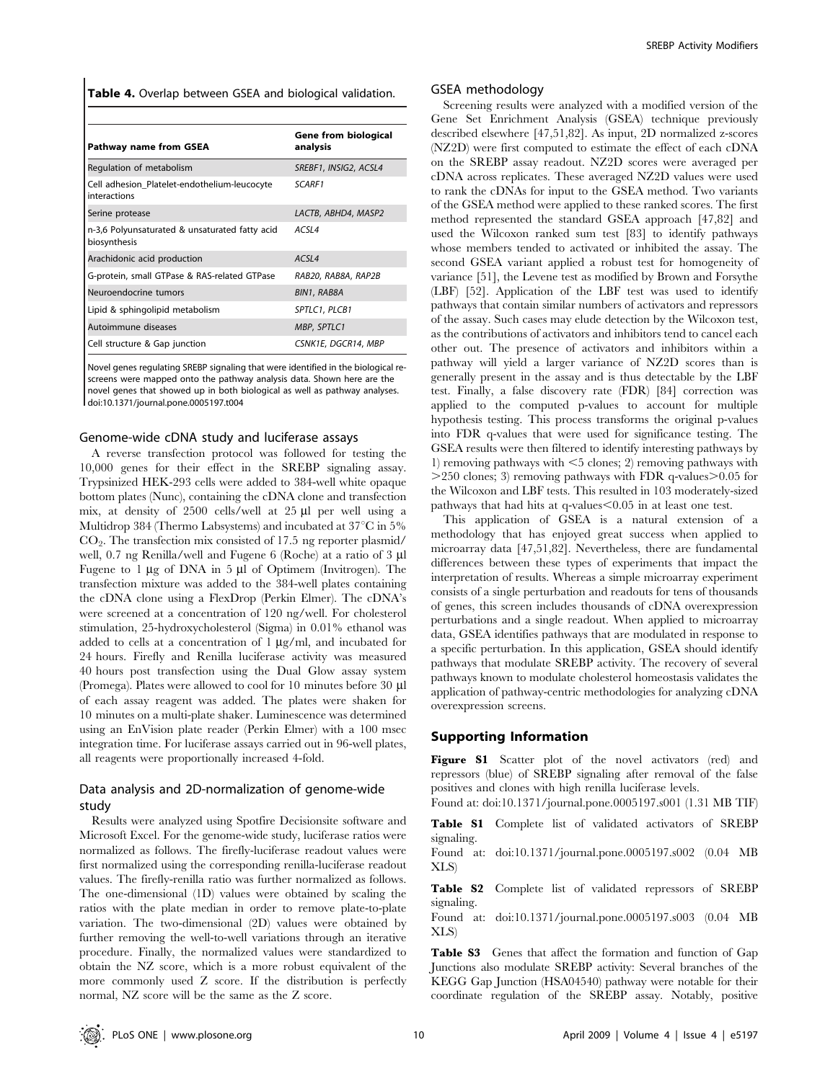Table 4. Overlap between GSEA and biological validation.

| Pathway name from GSEA                                         | <b>Gene from biological</b><br>analysis |
|----------------------------------------------------------------|-----------------------------------------|
| Regulation of metabolism                                       | SREBF1, INSIG2, ACSL4                   |
| Cell adhesion Platelet-endothelium-leucocyte<br>interactions   | SCARF1                                  |
| Serine protease                                                | LACTB, ABHD4, MASP2                     |
| n-3,6 Polyunsaturated & unsaturated fatty acid<br>biosynthesis | ACSL4                                   |
| Arachidonic acid production                                    | ACSL4                                   |
| G-protein, small GTPase & RAS-related GTPase                   | RAB20, RAB8A, RAP2B                     |
| Neuroendocrine tumors                                          | BIN1, RAB8A                             |
| Lipid & sphingolipid metabolism                                | SPTLC1, PLCB1                           |
| Autoimmune diseases                                            | MBP, SPTLC1                             |
| Cell structure & Gap junction                                  | CSNK1E, DGCR14, MBP                     |

Novel genes regulating SREBP signaling that were identified in the biological rescreens were mapped onto the pathway analysis data. Shown here are the novel genes that showed up in both biological as well as pathway analyses. doi:10.1371/journal.pone.0005197.t004

#### Genome-wide cDNA study and luciferase assays

A reverse transfection protocol was followed for testing the 10,000 genes for their effect in the SREBP signaling assay. Trypsinized HEK-293 cells were added to 384-well white opaque bottom plates (Nunc), containing the cDNA clone and transfection mix, at density of 2500 cells/well at 25 µl per well using a Multidrop 384 (Thermo Labsystems) and incubated at  $37^{\circ}$ C in 5%  $CO<sub>2</sub>$ . The transfection mix consisted of 17.5 ng reporter plasmid/ well, 0.7 ng Renilla/well and Fugene 6 (Roche) at a ratio of 3 µl Fugene to 1  $\mu$ g of DNA in 5  $\mu$ l of Optimem (Invitrogen). The transfection mixture was added to the 384-well plates containing the cDNA clone using a FlexDrop (Perkin Elmer). The cDNA's were screened at a concentration of 120 ng/well. For cholesterol stimulation, 25-hydroxycholesterol (Sigma) in 0.01% ethanol was added to cells at a concentration of  $1 \mu g/ml$ , and incubated for 24 hours. Firefly and Renilla luciferase activity was measured 40 hours post transfection using the Dual Glow assay system (Promega). Plates were allowed to cool for 10 minutes before 30 ml of each assay reagent was added. The plates were shaken for 10 minutes on a multi-plate shaker. Luminescence was determined using an EnVision plate reader (Perkin Elmer) with a 100 msec integration time. For luciferase assays carried out in 96-well plates, all reagents were proportionally increased 4-fold.

## Data analysis and 2D-normalization of genome-wide study

Results were analyzed using Spotfire Decisionsite software and Microsoft Excel. For the genome-wide study, luciferase ratios were normalized as follows. The firefly-luciferase readout values were first normalized using the corresponding renilla-luciferase readout values. The firefly-renilla ratio was further normalized as follows. The one-dimensional (1D) values were obtained by scaling the ratios with the plate median in order to remove plate-to-plate variation. The two-dimensional (2D) values were obtained by further removing the well-to-well variations through an iterative procedure. Finally, the normalized values were standardized to obtain the NZ score, which is a more robust equivalent of the more commonly used Z score. If the distribution is perfectly normal, NZ score will be the same as the Z score.

#### GSEA methodology

Screening results were analyzed with a modified version of the Gene Set Enrichment Analysis (GSEA) technique previously described elsewhere [47,51,82]. As input, 2D normalized z-scores (NZ2D) were first computed to estimate the effect of each cDNA on the SREBP assay readout. NZ2D scores were averaged per cDNA across replicates. These averaged NZ2D values were used to rank the cDNAs for input to the GSEA method. Two variants of the GSEA method were applied to these ranked scores. The first method represented the standard GSEA approach [47,82] and used the Wilcoxon ranked sum test [83] to identify pathways whose members tended to activated or inhibited the assay. The second GSEA variant applied a robust test for homogeneity of variance [51], the Levene test as modified by Brown and Forsythe (LBF) [52]. Application of the LBF test was used to identify pathways that contain similar numbers of activators and repressors of the assay. Such cases may elude detection by the Wilcoxon test, as the contributions of activators and inhibitors tend to cancel each other out. The presence of activators and inhibitors within a pathway will yield a larger variance of NZ2D scores than is generally present in the assay and is thus detectable by the LBF test. Finally, a false discovery rate (FDR) [84] correction was applied to the computed p-values to account for multiple hypothesis testing. This process transforms the original p-values into FDR q-values that were used for significance testing. The GSEA results were then filtered to identify interesting pathways by 1) removing pathways with  $<$  5 clones; 2) removing pathways with  $>$ 250 clones; 3) removing pathways with FDR q-values $>$ 0.05 for the Wilcoxon and LBF tests. This resulted in 103 moderately-sized pathways that had hits at q-values $< 0.05$  in at least one test.

This application of GSEA is a natural extension of a methodology that has enjoyed great success when applied to microarray data [47,51,82]. Nevertheless, there are fundamental differences between these types of experiments that impact the interpretation of results. Whereas a simple microarray experiment consists of a single perturbation and readouts for tens of thousands of genes, this screen includes thousands of cDNA overexpression perturbations and a single readout. When applied to microarray data, GSEA identifies pathways that are modulated in response to a specific perturbation. In this application, GSEA should identify pathways that modulate SREBP activity. The recovery of several pathways known to modulate cholesterol homeostasis validates the application of pathway-centric methodologies for analyzing cDNA overexpression screens.

#### Supporting Information

Figure S1 Scatter plot of the novel activators (red) and repressors (blue) of SREBP signaling after removal of the false positives and clones with high renilla luciferase levels.

Found at: doi:10.1371/journal.pone.0005197.s001 (1.31 MB TIF)

Table S1 Complete list of validated activators of SREBP signaling.

Found at: doi:10.1371/journal.pone.0005197.s002 (0.04 MB XLS)

Table S2 Complete list of validated repressors of SREBP signaling.

Found at: doi:10.1371/journal.pone.0005197.s003 (0.04 MB XLS)

Table S3 Genes that affect the formation and function of Gap Junctions also modulate SREBP activity: Several branches of the KEGG Gap Junction (HSA04540) pathway were notable for their coordinate regulation of the SREBP assay. Notably, positive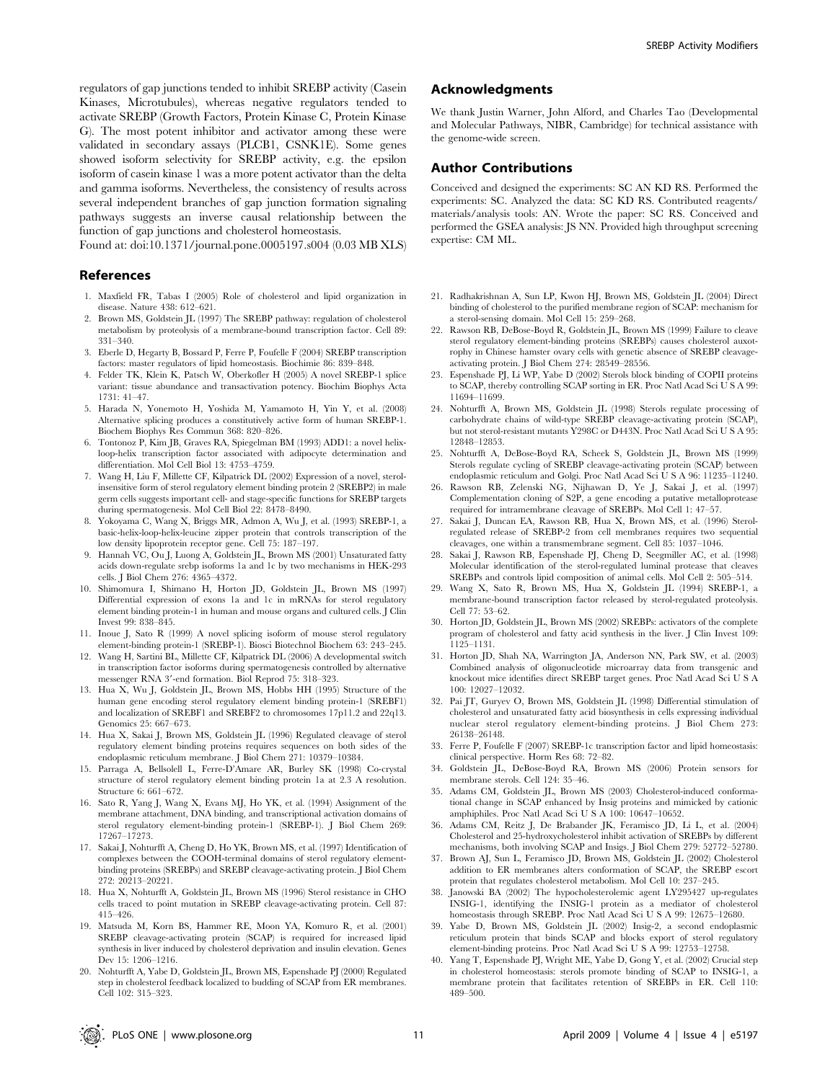regulators of gap junctions tended to inhibit SREBP activity (Casein Kinases, Microtubules), whereas negative regulators tended to activate SREBP (Growth Factors, Protein Kinase C, Protein Kinase G). The most potent inhibitor and activator among these were validated in secondary assays (PLCB1, CSNK1E). Some genes showed isoform selectivity for SREBP activity, e.g. the epsilon isoform of casein kinase 1 was a more potent activator than the delta and gamma isoforms. Nevertheless, the consistency of results across several independent branches of gap junction formation signaling pathways suggests an inverse causal relationship between the function of gap junctions and cholesterol homeostasis.

Found at: doi:10.1371/journal.pone.0005197.s004 (0.03 MB XLS)

## References

- 1. Maxfield FR, Tabas I (2005) Role of cholesterol and lipid organization in disease. Nature 438: 612–621.
- 2. Brown MS, Goldstein JL (1997) The SREBP pathway: regulation of cholesterol metabolism by proteolysis of a membrane-bound transcription factor. Cell 89: 331–340.
- 3. Eberle D, Hegarty B, Bossard P, Ferre P, Foufelle F (2004) SREBP transcription factors: master regulators of lipid homeostasis. Biochimie 86: 839–848.
- 4. Felder TK, Klein K, Patsch W, Oberkofler H (2005) A novel SREBP-1 splice variant: tissue abundance and transactivation potency. Biochim Biophys Acta 1731: 41–47.
- 5. Harada N, Yonemoto H, Yoshida M, Yamamoto H, Yin Y, et al. (2008) Alternative splicing produces a constitutively active form of human SREBP-1. Biochem Biophys Res Commun 368: 820–826.
- 6. Tontonoz P, Kim JB, Graves RA, Spiegelman BM (1993) ADD1: a novel helixloop-helix transcription factor associated with adipocyte determination and differentiation. Mol Cell Biol 13: 4753–4759.
- 7. Wang H, Liu F, Millette CF, Kilpatrick DL (2002) Expression of a novel, sterolinsensitive form of sterol regulatory element binding protein 2 (SREBP2) in male germ cells suggests important cell- and stage-specific functions for SREBP targets during spermatogenesis. Mol Cell Biol 22: 8478–8490.
- 8. Yokoyama C, Wang X, Briggs MR, Admon A, Wu J, et al. (1993) SREBP-1, a basic-helix-loop-helix-leucine zipper protein that controls transcription of the low density lipoprotein receptor gene. Cell 75: 187–197.
- 9. Hannah VC, Ou J, Luong A, Goldstein JL, Brown MS (2001) Unsaturated fatty acids down-regulate srebp isoforms 1a and 1c by two mechanisms in HEK-293 cells. J Biol Chem 276: 4365–4372.
- 10. Shimomura I, Shimano H, Horton JD, Goldstein JL, Brown MS (1997) Differential expression of exons 1a and 1c in mRNAs for sterol regulatory element binding protein-1 in human and mouse organs and cultured cells. J Clin Invest 99: 838–845.
- 11. Inoue J, Sato R (1999) A novel splicing isoform of mouse sterol regulatory element-binding protein-1 (SREBP-1). Biosci Biotechnol Biochem 63: 243–245.
- 12. Wang H, Sartini BL, Millette CF, Kilpatrick DL (2006) A developmental switch in transcription factor isoforms during spermatogenesis controlled by alternative messenger RNA 3'-end formation. Biol Reprod 75: 318-323.
- 13. Hua X, Wu J, Goldstein JL, Brown MS, Hobbs HH (1995) Structure of the human gene encoding sterol regulatory element binding protein-1 (SREBF1) and localization of SREBF1 and SREBF2 to chromosomes 17p11.2 and 22q13. Genomics 25: 667–673.
- 14. Hua X, Sakai J, Brown MS, Goldstein JL (1996) Regulated cleavage of sterol regulatory element binding proteins requires sequences on both sides of the endoplasmic reticulum membrane. J Biol Chem 271: 10379–10384.
- 15. Parraga A, Bellsolell L, Ferre-D'Amare AR, Burley SK (1998) Co-crystal structure of sterol regulatory element binding protein 1a at 2.3 A resolution. Structure 6: 661–672.
- 16. Sato R, Yang J, Wang X, Evans MJ, Ho YK, et al. (1994) Assignment of the membrane attachment, DNA binding, and transcriptional activation domains of sterol regulatory element-binding protein-1 (SREBP-1). J Biol Chem 269: 17267–17273.
- 17. Sakai J, Nohturfft A, Cheng D, Ho YK, Brown MS, et al. (1997) Identification of complexes between the COOH-terminal domains of sterol regulatory elementbinding proteins (SREBPs) and SREBP cleavage-activating protein. J Biol Chem 272: 20213–20221.
- 18. Hua X, Nohturfft A, Goldstein JL, Brown MS (1996) Sterol resistance in CHO cells traced to point mutation in SREBP cleavage-activating protein. Cell 87: 415–426.
- 19. Matsuda M, Korn BS, Hammer RE, Moon YA, Komuro R, et al. (2001) SREBP cleavage-activating protein (SCAP) is required for increased lipid synthesis in liver induced by cholesterol deprivation and insulin elevation. Genes Dev 15: 1206–1216.
- 20. Nohturfft A, Yabe D, Goldstein JL, Brown MS, Espenshade PJ (2000) Regulated step in cholesterol feedback localized to budding of SCAP from ER membranes. Cell 102: 315–323.

## Acknowledgments

We thank Justin Warner, John Alford, and Charles Tao (Developmental and Molecular Pathways, NIBR, Cambridge) for technical assistance with the genome-wide screen.

#### Author Contributions

Conceived and designed the experiments: SC AN KD RS. Performed the experiments: SC. Analyzed the data: SC KD RS. Contributed reagents/ materials/analysis tools: AN. Wrote the paper: SC RS. Conceived and performed the GSEA analysis: JS NN. Provided high throughput screening expertise: CM ML.

- 21. Radhakrishnan A, Sun LP, Kwon HJ, Brown MS, Goldstein JL (2004) Direct binding of cholesterol to the purified membrane region of SCAP: mechanism for a sterol-sensing domain. Mol Cell 15: 259–268.
- 22. Rawson RB, DeBose-Boyd R, Goldstein JL, Brown MS (1999) Failure to cleave sterol regulatory element-binding proteins (SREBPs) causes cholesterol auxotrophy in Chinese hamster ovary cells with genetic absence of SREBP cleavageactivating protein. J Biol Chem 274: 28549–28556.
- 23. Espenshade PJ, Li WP, Yabe D (2002) Sterols block binding of COPII proteins to SCAP, thereby controlling SCAP sorting in ER. Proc Natl Acad Sci U S A 99: 11694–11699.
- 24. Nohturfft A, Brown MS, Goldstein JL (1998) Sterols regulate processing of carbohydrate chains of wild-type SREBP cleavage-activating protein (SCAP), but not sterol-resistant mutants Y298C or D443N. Proc Natl Acad Sci U S A 95: 12848–12853.
- 25. Nohturfft A, DeBose-Boyd RA, Scheek S, Goldstein JL, Brown MS (1999) Sterols regulate cycling of SREBP cleavage-activating protein (SCAP) between endoplasmic reticulum and Golgi. Proc Natl Acad Sci U S A 96: 11235–11240.
- 26. Rawson RB, Zelenski NG, Nijhawan D, Ye J, Sakai J, et al. (1997) Complementation cloning of S2P, a gene encoding a putative metalloprotease required for intramembrane cleavage of SREBPs. Mol Cell 1: 47–57.
- 27. Sakai J, Duncan EA, Rawson RB, Hua X, Brown MS, et al. (1996) Sterolregulated release of SREBP-2 from cell membranes requires two sequential cleavages, one within a transmembrane segment. Cell 85: 1037–1046.
- 28. Sakai J, Rawson RB, Espenshade PJ, Cheng D, Seegmiller AC, et al. (1998) Molecular identification of the sterol-regulated luminal protease that cleaves SREBPs and controls lipid composition of animal cells. Mol Cell 2: 505–514.
- 29. Wang X, Sato R, Brown MS, Hua X, Goldstein JL (1994) SREBP-1, a membrane-bound transcription factor released by sterol-regulated proteolysis. Cell 77: 53–62.
- 30. Horton JD, Goldstein JL, Brown MS (2002) SREBPs: activators of the complete program of cholesterol and fatty acid synthesis in the liver. J Clin Invest 109: 1125–1131.
- 31. Horton JD, Shah NA, Warrington JA, Anderson NN, Park SW, et al. (2003) Combined analysis of oligonucleotide microarray data from transgenic and knockout mice identifies direct SREBP target genes. Proc Natl Acad Sci U S A 100: 12027–12032.
- 32. Pai JT, Guryev O, Brown MS, Goldstein JL (1998) Differential stimulation of cholesterol and unsaturated fatty acid biosynthesis in cells expressing individual nuclear sterol regulatory element-binding proteins. J Biol Chem 273: 26138–26148.
- 33. Ferre P, Foufelle F (2007) SREBP-1c transcription factor and lipid homeostasis: clinical perspective. Horm Res 68: 72–82.
- 34. Goldstein JL, DeBose-Boyd RA, Brown MS (2006) Protein sensors for membrane sterols. Cell 124: 35–46.
- 35. Adams CM, Goldstein JL, Brown MS (2003) Cholesterol-induced conformational change in SCAP enhanced by Insig proteins and mimicked by cationic amphiphiles. Proc Natl Acad Sci U S A 100: 10647–10652.
- 36. Adams CM, Reitz J, De Brabander JK, Feramisco JD, Li L, et al. (2004) Cholesterol and 25-hydroxycholesterol inhibit activation of SREBPs by different mechanisms, both involving SCAP and Insigs. J Biol Chem 279: 52772–52780.
- 37. Brown AJ, Sun L, Feramisco JD, Brown MS, Goldstein JL (2002) Cholesterol addition to ER membranes alters conformation of SCAP, the SREBP escort protein that regulates cholesterol metabolism. Mol Cell 10: 237–245.
- 38. Janowski BA (2002) The hypocholesterolemic agent LY295427 up-regulates INSIG-1, identifying the INSIG-1 protein as a mediator of cholesterol homeostasis through SREBP. Proc Natl Acad Sci U S A 99: 12675–12680.
- 39. Yabe D, Brown MS, Goldstein JL (2002) Insig-2, a second endoplasmic reticulum protein that binds SCAP and blocks export of sterol regulatory element-binding proteins. Proc Natl Acad Sci U S A 99: 12753–12758.
- 40. Yang T, Espenshade PJ, Wright ME, Yabe D, Gong Y, et al. (2002) Crucial step in cholesterol homeostasis: sterols promote binding of SCAP to INSIG-1, a membrane protein that facilitates retention of SREBPs in ER. Cell 110: 489–500.